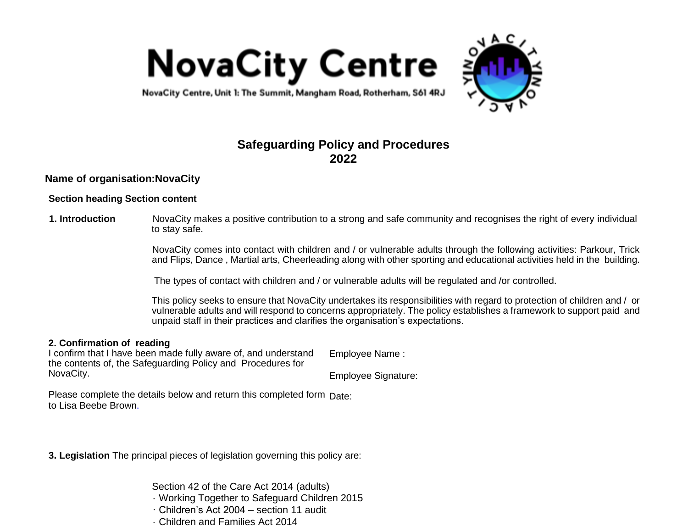



NovaCity Centre, Unit 1: The Summit, Mangham Road, Rotherham, S61 4RJ

# **Safeguarding Policy and Procedures 2022**

### **Name of organisation:NovaCity**

### **Section heading Section content**

#### **1. Introduction** NovaCity makes a positive contribution to a strong and safe community and recognises the right of every individual to stay safe.

NovaCity comes into contact with children and / or vulnerable adults through the following activities: Parkour, Trick and Flips, Dance , Martial arts, Cheerleading along with other sporting and educational activities held in the building.

The types of contact with children and / or vulnerable adults will be regulated and /or controlled.

This policy seeks to ensure that NovaCity undertakes its responsibilities with regard to protection of children and / or vulnerable adults and will respond to concerns appropriately. The policy establishes a framework to support paid and unpaid staff in their practices and clarifies the organisation's expectations.

#### **2. Confirmation of reading**

I confirm that I have been made fully aware of, and understand the contents of, the Safeguarding Policy and Procedures for NovaCity.

Employee Name :

Employee Signature:

Please complete the details below and return this completed form Date: to Lisa Beebe Brown.

**3. Legislation** The principal pieces of legislation governing this policy are:

Section 42 of the Care Act 2014 (adults)

- · Working Together to Safeguard Children 2015
- · Children's Act 2004 section 11 audit
- · Children and Families Act 2014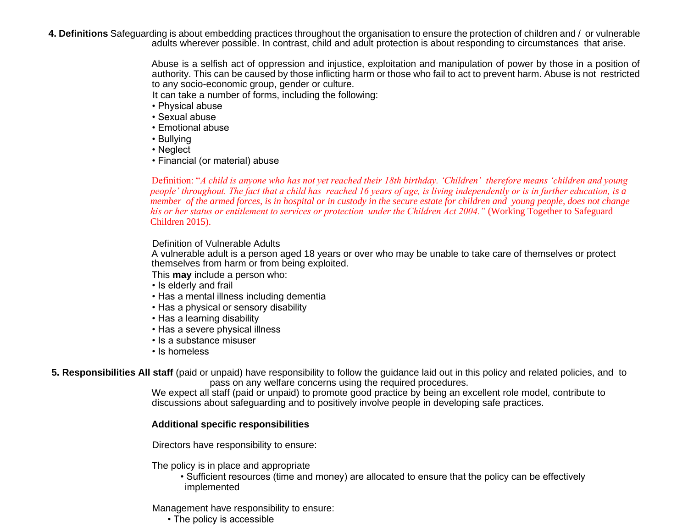**4. Definitions** Safeguarding is about embedding practices throughout the organisation to ensure the protection of children and / or vulnerable adults wherever possible. In contrast, child and adult protection is about responding to circumstances that arise.

> Abuse is a selfish act of oppression and injustice, exploitation and manipulation of power by those in a position of authority. This can be caused by those inflicting harm or those who fail to act to prevent harm. Abuse is not restricted to any socio-economic group, gender or culture.

It can take a number of forms, including the following:

- Physical abuse
- Sexual abuse
- Emotional abuse
- Bullying
- Neglect
- Financial (or material) abuse

Definition: "*A child is anyone who has not yet reached their 18th birthday. 'Children' therefore means 'children and young people' throughout. The fact that a child has reached 16 years of age, is living independently or is in further education, is a member of the armed forces, is in hospital or in custody in the secure estate for children and young people, does not change his or her status or entitlement to services or protection under the Children Act 2004."* (Working Together to Safeguard Children 2015).

### Definition of Vulnerable Adults

A vulnerable adult is a person aged 18 years or over who may be unable to take care of themselves or protect themselves from harm or from being exploited.

This **may** include a person who:

- Is elderly and frail
- Has a mental illness including dementia
- Has a physical or sensory disability
- Has a learning disability
- Has a severe physical illness
- Is a substance misuser
- Is homeless

**5. Responsibilities All staff** (paid or unpaid) have responsibility to follow the guidance laid out in this policy and related policies, and to pass on any welfare concerns using the required procedures.

We expect all staff (paid or unpaid) to promote good practice by being an excellent role model, contribute to discussions about safeguarding and to positively involve people in developing safe practices.

### **Additional specific responsibilities**

Directors have responsibility to ensure:

The policy is in place and appropriate

• Sufficient resources (time and money) are allocated to ensure that the policy can be effectively implemented

Management have responsibility to ensure:

• The policy is accessible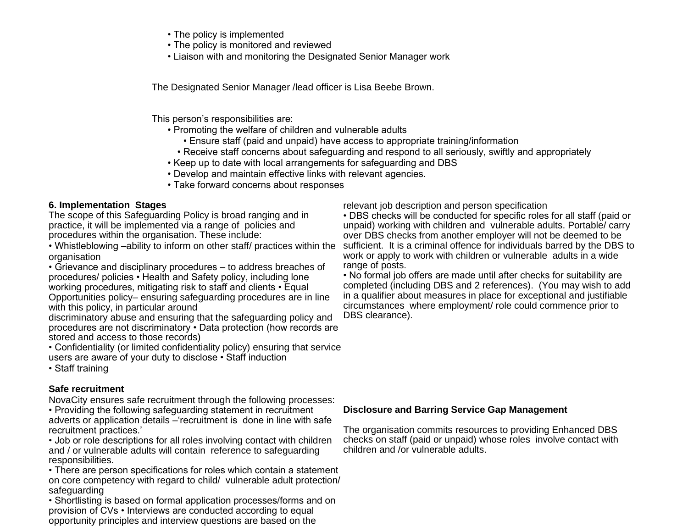- The policy is implemented
- The policy is monitored and reviewed
- Liaison with and monitoring the Designated Senior Manager work

The Designated Senior Manager /lead officer is Lisa Beebe Brown.

This person's responsibilities are:

- Promoting the welfare of children and vulnerable adults
	- Ensure staff (paid and unpaid) have access to appropriate training/information
	- Receive staff concerns about safeguarding and respond to all seriously, swiftly and appropriately
- Keep up to date with local arrangements for safeguarding and DBS
	- Develop and maintain effective links with relevant agencies.
- Take forward concerns about responses

## **6. Implementation Stages**

The scope of this Safeguarding Policy is broad ranging and in practice, it will be implemented via a range of policies and procedures within the organisation. These include:

organisation

• Grievance and disciplinary procedures – to address breaches of procedures/ policies • Health and Safety policy, including lone working procedures, mitigating risk to staff and clients • Equal Opportunities policy– ensuring safeguarding procedures are in line with this policy, in particular around

discriminatory abuse and ensuring that the safeguarding policy and procedures are not discriminatory • Data protection (how records are stored and access to those records)

• Confidentiality (or limited confidentiality policy) ensuring that service users are aware of your duty to disclose • Staff induction

• Staff training

## **Safe recruitment**

NovaCity ensures safe recruitment through the following processes:

• Providing the following safeguarding statement in recruitment adverts or application details –'recruitment is done in line with safe recruitment practices.'

• Job or role descriptions for all roles involving contact with children and / or vulnerable adults will contain reference to safeguarding responsibilities.

• There are person specifications for roles which contain a statement on core competency with regard to child/ vulnerable adult protection/ safeguarding

• Shortlisting is based on formal application processes/forms and on provision of CVs • Interviews are conducted according to equal opportunity principles and interview questions are based on the

relevant job description and person specification

• Whistleblowing –ability to inform on other staff/ practices within the sufficient. It is a criminal offence for individuals barred by the DBS to • DBS checks will be conducted for specific roles for all staff (paid or unpaid) working with children and vulnerable adults. Portable/ carry over DBS checks from another employer will not be deemed to be work or apply to work with children or vulnerable adults in a wide range of posts.

• No formal job offers are made until after checks for suitability are completed (including DBS and 2 references). (You may wish to add in a qualifier about measures in place for exceptional and justifiable circumstances where employment/ role could commence prior to DBS clearance).

### **Disclosure and Barring Service Gap Management**

The organisation commits resources to providing Enhanced DBS checks on staff (paid or unpaid) whose roles involve contact with children and /or vulnerable adults.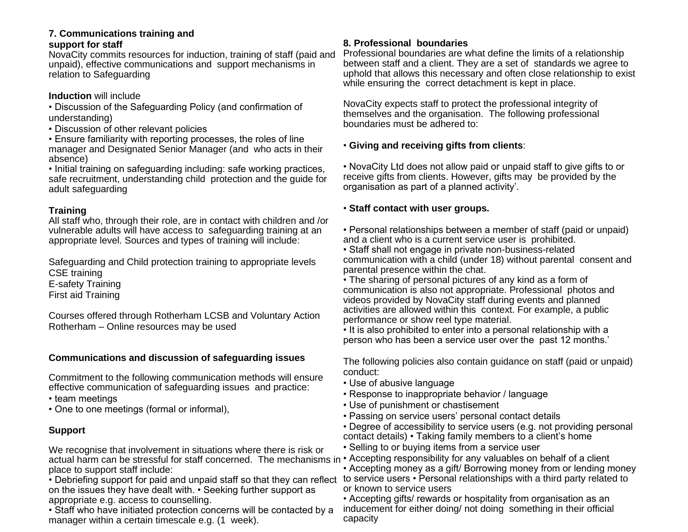#### **7. Communications training and support for staff**

NovaCity commits resources for induction, training of staff (paid and unpaid), effective communications and support mechanisms in relation to Safeguarding

### **Induction** will include

• Discussion of the Safeguarding Policy (and confirmation of understanding)

• Discussion of other relevant policies

• Ensure familiarity with reporting processes, the roles of line manager and Designated Senior Manager (and who acts in their absence)

• Initial training on safeguarding including: safe working practices, safe recruitment, understanding child protection and the guide for adult safeguarding

## **Training**

All staff who, through their role, are in contact with children and /or vulnerable adults will have access to safeguarding training at an appropriate level. Sources and types of training will include:

Safeguarding and Child protection training to appropriate levels CSE training E-safety Training

First aid Training

Courses offered through Rotherham LCSB and Voluntary Action Rotherham – Online resources may be used

## **Communications and discussion of safeguarding issues**

Commitment to the following communication methods will ensure effective communication of safeguarding issues and practice:

• team meetings

• One to one meetings (formal or informal),

# **Support**

We recognise that involvement in situations where there is risk or actual harm can be stressful for staff concerned. The mechanisms in • Accepting responsibility for any valuables on behalf of a client place to support staff include:

on the issues they have dealt with. • Seeking further support as appropriate e.g. access to counselling.

• Staff who have initiated protection concerns will be contacted by a manager within a certain timescale e.g. (1 week).

## **8. Professional boundaries**

Professional boundaries are what define the limits of a relationship between staff and a client. They are a set of standards we agree to uphold that allows this necessary and often close relationship to exist while ensuring the correct detachment is kept in place.

NovaCity expects staff to protect the professional integrity of themselves and the organisation. The following professional boundaries must be adhered to:

## • **Giving and receiving gifts from clients**:

• NovaCity Ltd does not allow paid or unpaid staff to give gifts to or receive gifts from clients. However, gifts may be provided by the organisation as part of a planned activity'.

## • **Staff contact with user groups.**

• Personal relationships between a member of staff (paid or unpaid) and a client who is a current service user is prohibited.

• Staff shall not engage in private non-business-related communication with a child (under 18) without parental consent and parental presence within the chat.

• The sharing of personal pictures of any kind as a form of communication is also not appropriate. Professional photos and videos provided by NovaCity staff during events and planned activities are allowed within this context. For example, a public performance or show reel type material.

• It is also prohibited to enter into a personal relationship with a person who has been a service user over the past 12 months.'

The following policies also contain guidance on staff (paid or unpaid) conduct:

- Use of abusive language
- Response to inappropriate behavior / language
- Use of punishment or chastisement
- Passing on service users' personal contact details
- Degree of accessibility to service users (e.g. not providing personal contact details) • Taking family members to a client's home
- Selling to or buying items from a service user

• Debriefing support for paid and unpaid staff so that they can reflect to service users • Personal relationships with a third party related to • Accepting money as a gift/ Borrowing money from or lending money or known to service users

• Accepting gifts/ rewards or hospitality from organisation as an inducement for either doing/ not doing something in their official capacity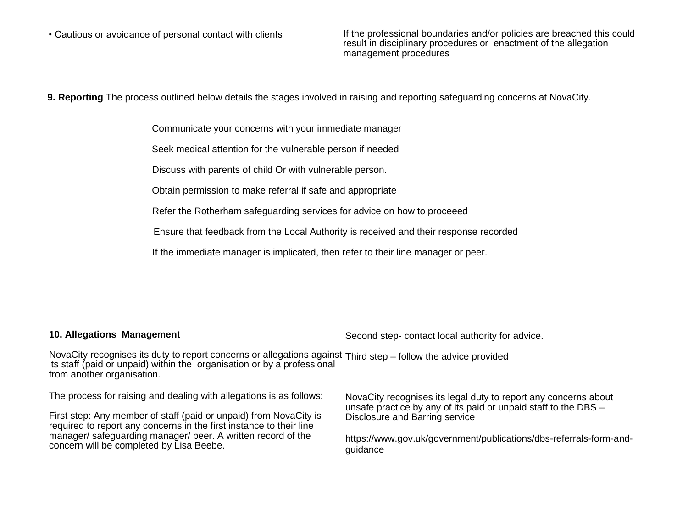• Cautious or avoidance of personal contact with clients If the professional boundaries and/or policies are breached this could result in disciplinary procedures or enactment of the allegation management procedures

**9. Reporting** The process outlined below details the stages involved in raising and reporting safeguarding concerns at NovaCity.

Communicate your concerns with your immediate manager

Seek medical attention for the vulnerable person if needed

Discuss with parents of child Or with vulnerable person.

Obtain permission to make referral if safe and appropriate

Refer the Rotherham safeguarding services for advice on how to proceeed

Ensure that feedback from the Local Authority is received and their response recorded

If the immediate manager is implicated, then refer to their line manager or peer.

#### **10. Allegations Management**

Second step- contact local authority for advice.

NovaCity recognises its duty to report concerns or allegations against Third step – follow the advice provided its staff (paid or unpaid) within the organisation or by a professional from another organisation.

The process for raising and dealing with allegations is as follows:

First step: Any member of staff (paid or unpaid) from NovaCity is required to report any concerns in the first instance to their line manager/ safeguarding manager/ peer. A written record of the concern will be completed by Lisa Beebe.

NovaCity recognises its legal duty to report any concerns about unsafe practice by any of its paid or unpaid staff to the DBS – Disclosure and Barring service

https://www.gov.uk/government/publications/dbs-referrals-form-andguidance